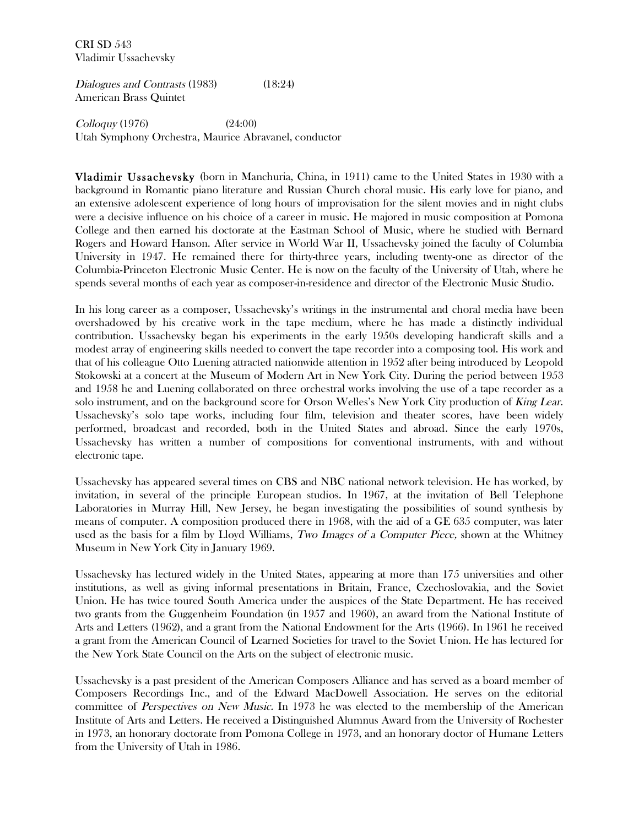CRI SD 543 Vladimir Ussachevsky

Dialogues and Contrasts (1983) (18:24) American Brass Quintet

Colloquy (1976) (24:00) Utah Symphony Orchestra, Maurice Abravanel, conductor

Vladimir Ussachevsky (born in Manchuria, China, in 1911) came to the United States in 1930 with a background in Romantic piano literature and Russian Church choral music. His early love for piano, and an extensive adolescent experience of long hours of improvisation for the silent movies and in night clubs were a decisive influence on his choice of a career in music. He majored in music composition at Pomona College and then earned his doctorate at the Eastman School of Music, where he studied with Bernard Rogers and Howard Hanson. After service in World War II, Ussachevsky joined the faculty of Columbia University in 1947. He remained there for thirty-three years, including twenty-one as director of the Columbia-Princeton Electronic Music Center. He is now on the faculty of the University of Utah, where he spends several months of each year as composer-in-residence and director of the Electronic Music Studio.

In his long career as a composer, Ussachevsky's writings in the instrumental and choral media have been overshadowed by his creative work in the tape medium, where he has made a distinctly individual contribution. Ussachevsky began his experiments in the early 1950s developing handicraft skills and a modest array of engineering skills needed to convert the tape recorder into a composing tool. His work and that of his colleague Otto Luening attracted nationwide attention in 1952 after being introduced by Leopold Stokowski at a concert at the Museum of Modern Art in New York City. During the period between 1953 and 1958 he and Luening collaborated on three orchestral works involving the use of a tape recorder as a solo instrument, and on the background score for Orson Welles's New York City production of King Lear. Ussachevsky's solo tape works, including four film, television and theater scores, have been widely performed, broadcast and recorded, both in the United States and abroad. Since the early 1970s, Ussachevsky has written a number of compositions for conventional instruments, with and without electronic tape.

Ussachevsky has appeared several times on CBS and NBC national network television. He has worked, by invitation, in several of the principle European studios. In 1967, at the invitation of Bell Telephone Laboratories in Murray Hill, New Jersey, he began investigating the possibilities of sound synthesis by means of computer. A composition produced there in 1968, with the aid of a GE 635 computer, was later used as the basis for a film by Lloyd Williams, Two Images of a Computer Piece, shown at the Whitney Museum in New York City in January 1969.

Ussachevsky has lectured widely in the United States, appearing at more than 175 universities and other institutions, as well as giving informal presentations in Britain, France, Czechoslovakia, and the Soviet Union. He has twice toured South America under the auspices of the State Department. He has received two grants from the Guggenheim Foundation (in 1957 and 1960), an award from the National Institute of Arts and Letters (1962), and a grant from the National Endowment for the Arts (1966). In 1961 he received a grant from the American Council of Learned Societies for travel to the Soviet Union. He has lectured for the New York State Council on the Arts on the subject of electronic music.

Ussachevsky is a past president of the American Composers Alliance and has served as a board member of Composers Recordings Inc., and of the Edward MacDowell Association. He serves on the editorial committee of Perspectives on New Music. In 1973 he was elected to the membership of the American Institute of Arts and Letters. He received a Distinguished Alumnus Award from the University of Rochester in 1973, an honorary doctorate from Pomona College in 1973, and an honorary doctor of Humane Letters from the University of Utah in 1986.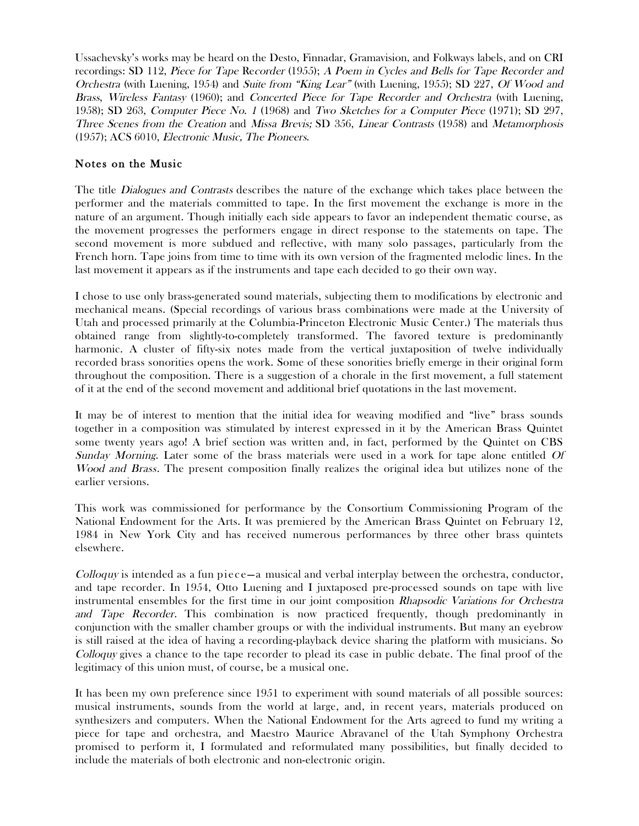Ussachevsky's works may be heard on the Desto, Finnadar, Gramavision, and Folkways labels, and on CRI recordings: SD 112, Piece for Tape Recorder (1955); A Poem in Cycles and Bells for Tape Recorder and Orchestra (with Luening, 1954) and Suite from "King Lear" (with Luening, 1955); SD 227, Of Wood and Brass, Wireless Fantasy (1960); and Concerted Piece for Tape Recorder and Orchestra (with Luening, 1958); SD 263, Computer Piece No. 1 (1968) and Two Sketches for a Computer Piece (1971); SD 297, Three Scenes from the Creation and Missa Brevis; SD 356, Linear Contrasts (1958) and Metamorphosis (1957); ACS 6010, Electronic Music, The Pioneers.

#### Notes on the Music

The title *Dialogues and Contrasts* describes the nature of the exchange which takes place between the performer and the materials committed to tape. In the first movement the exchange is more in the nature of an argument. Though initially each side appears to favor an independent thematic course, as the movement progresses the performers engage in direct response to the statements on tape. The second movement is more subdued and reflective, with many solo passages, particularly from the French horn. Tape joins from time to time with its own version of the fragmented melodic lines. In the last movement it appears as if the instruments and tape each decided to go their own way.

I chose to use only brass-generated sound materials, subjecting them to modifications by electronic and mechanical means. (Special recordings of various brass combinations were made at the University of Utah and processed primarily at the Columbia-Princeton Electronic Music Center.) The materials thus obtained range from slightly-to-completely transformed. The favored texture is predominantly harmonic. A cluster of fifty-six notes made from the vertical juxtaposition of twelve individually recorded brass sonorities opens the work. Some of these sonorities briefly emerge in their original form throughout the composition. There is a suggestion of a chorale in the first movement, a full statement of it at the end of the second movement and additional brief quotations in the last movement.

It may be of interest to mention that the initial idea for weaving modified and "live" brass sounds together in a composition was stimulated by interest expressed in it by the American Brass Quintet some twenty years ago! A brief section was written and, in fact, performed by the Quintet on CBS Sunday Morning. Later some of the brass materials were used in a work for tape alone entitled Of Wood and Brass. The present composition finally realizes the original idea but utilizes none of the earlier versions.

This work was commissioned for performance by the Consortium Commissioning Program of the National Endowment for the Arts. It was premiered by the American Brass Quintet on February 12, 1984 in New York City and has received numerous performances by three other brass quintets elsewhere.

 $Colloguy$  is intended as a fun piece—a musical and verbal interplay between the orchestra, conductor, and tape recorder. In 1954, Otto Luening and I juxtaposed pre-processed sounds on tape with live instrumental ensembles for the first time in our joint composition Rhapsodic Variations for Orchestra and Tape Recorder. This combination is now practiced frequently, though predominantly in conjunction with the smaller chamber groups or with the individual instruments. But many an eyebrow is still raised at the idea of having a recording-playback device sharing the platform with musicians. So Colloquy gives a chance to the tape recorder to plead its case in public debate. The final proof of the legitimacy of this union must, of course, be a musical one.

It has been my own preference since 1951 to experiment with sound materials of all possible sources: musical instruments, sounds from the world at large, and, in recent years, materials produced on synthesizers and computers. When the National Endowment for the Arts agreed to fund my writing a piece for tape and orchestra, and Maestro Maurice Abravanel of the Utah Symphony Orchestra promised to perform it, I formulated and reformulated many possibilities, but finally decided to include the materials of both electronic and non-electronic origin.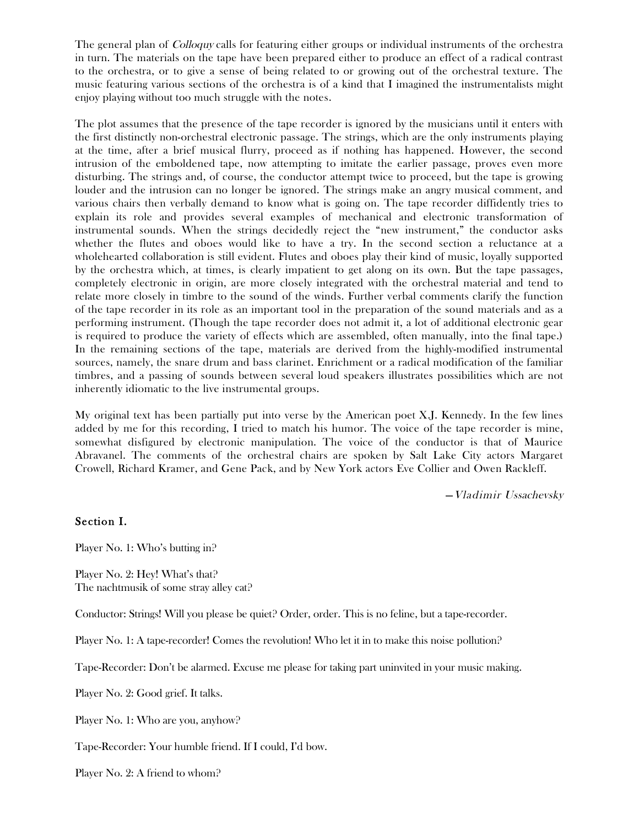The general plan of Colloquy calls for featuring either groups or individual instruments of the orchestra in turn. The materials on the tape have been prepared either to produce an effect of a radical contrast to the orchestra, or to give a sense of being related to or growing out of the orchestral texture. The music featuring various sections of the orchestra is of a kind that I imagined the instrumentalists might enjoy playing without too much struggle with the notes.

The plot assumes that the presence of the tape recorder is ignored by the musicians until it enters with the first distinctly non-orchestral electronic passage. The strings, which are the only instruments playing at the time, after a brief musical flurry, proceed as if nothing has happened. However, the second intrusion of the emboldened tape, now attempting to imitate the earlier passage, proves even more disturbing. The strings and, of course, the conductor attempt twice to proceed, but the tape is growing louder and the intrusion can no longer be ignored. The strings make an angry musical comment, and various chairs then verbally demand to know what is going on. The tape recorder diffidently tries to explain its role and provides several examples of mechanical and electronic transformation of instrumental sounds. When the strings decidedly reject the "new instrument," the conductor asks whether the flutes and oboes would like to have a try. In the second section a reluctance at a wholehearted collaboration is still evident. Flutes and oboes play their kind of music, loyally supported by the orchestra which, at times, is clearly impatient to get along on its own. But the tape passages, completely electronic in origin, are more closely integrated with the orchestral material and tend to relate more closely in timbre to the sound of the winds. Further verbal comments clarify the function of the tape recorder in its role as an important tool in the preparation of the sound materials and as a performing instrument. (Though the tape recorder does not admit it, a lot of additional electronic gear is required to produce the variety of effects which are assembled, often manually, into the final tape.) In the remaining sections of the tape, materials are derived from the highly-modified instrumental sources, namely, the snare drum and bass clarinet. Enrichment or a radical modification of the familiar timbres, and a passing of sounds between several loud speakers illustrates possibilities which are not inherently idiomatic to the live instrumental groups.

My original text has been partially put into verse by the American poet X.J. Kennedy. In the few lines added by me for this recording, I tried to match his humor. The voice of the tape recorder is mine, somewhat disfigured by electronic manipulation. The voice of the conductor is that of Maurice Abravanel. The comments of the orchestral chairs are spoken by Salt Lake City actors Margaret Crowell, Richard Kramer, and Gene Pack, and by New York actors Eve Collier and Owen Rackleff.

—Vladimir Ussachevsky

#### Section I.

Player No. 1: Who's butting in?

Player No. 2: Hey! What's that? The nachtmusik of some stray alley cat?

Conductor: Strings! Will you please be quiet? Order, order. This is no feline, but a tape-recorder.

Player No. 1: A tape-recorder! Comes the revolution! Who let it in to make this noise pollution?

Tape-Recorder: Don't be alarmed. Excuse me please for taking part uninvited in your music making.

Player No. 2: Good grief. It talks.

Player No. 1: Who are you, anyhow?

Tape-Recorder: Your humble friend. If I could, I'd bow.

Player No. 2: A friend to whom?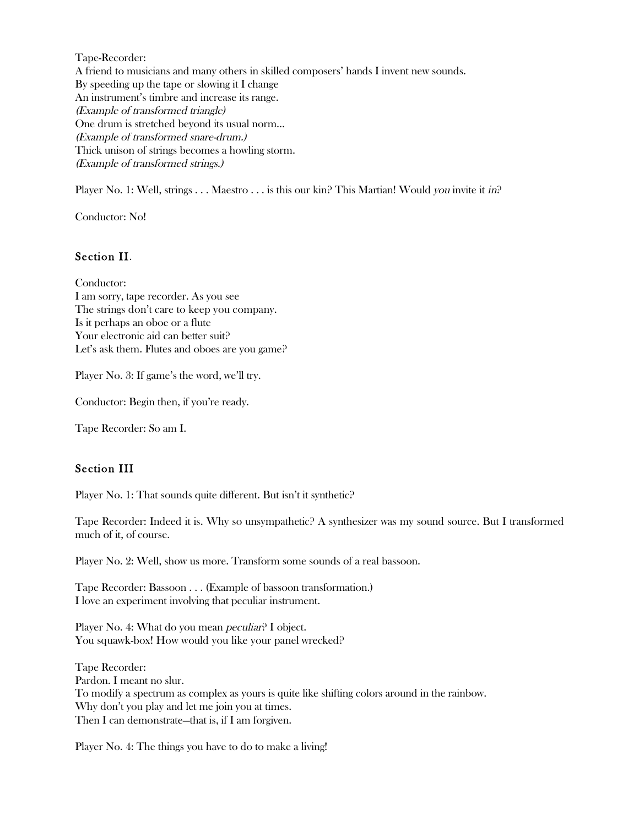Tape-Recorder: A friend to musicians and many others in skilled composers' hands I invent new sounds. By speeding up the tape or slowing it I change An instrument's timbre and increase its range. (Example of transformed triangle) One drum is stretched beyond its usual norm... (Example of transformed snare-drum.) Thick unison of strings becomes a howling storm. (Example of transformed strings.)

Player No. 1: Well, strings . . . Maestro . . . is this our kin? This Martian! Would you invite it in?

Conductor: No!

### Section II.

Conductor: I am sorry, tape recorder. As you see The strings don't care to keep you company. Is it perhaps an oboe or a flute Your electronic aid can better suit? Let's ask them. Flutes and oboes are you game?

Player No. 3: If game's the word, we'll try.

Conductor: Begin then, if you're ready.

Tape Recorder: So am I.

### Section III

Player No. 1: That sounds quite different. But isn't it synthetic?

Tape Recorder: Indeed it is. Why so unsympathetic? A synthesizer was my sound source. But I transformed much of it, of course.

Player No. 2: Well, show us more. Transform some sounds of a real bassoon.

Tape Recorder: Bassoon . . . (Example of bassoon transformation.) I love an experiment involving that peculiar instrument.

Player No. 4: What do you mean *peculiar*? I object. You squawk-box! How would you like your panel wrecked?

Tape Recorder: Pardon. I meant no slur. To modify a spectrum as complex as yours is quite like shifting colors around in the rainbow. Why don't you play and let me join you at times. Then I can demonstrate—that is, if I am forgiven.

Player No. 4: The things you have to do to make a living!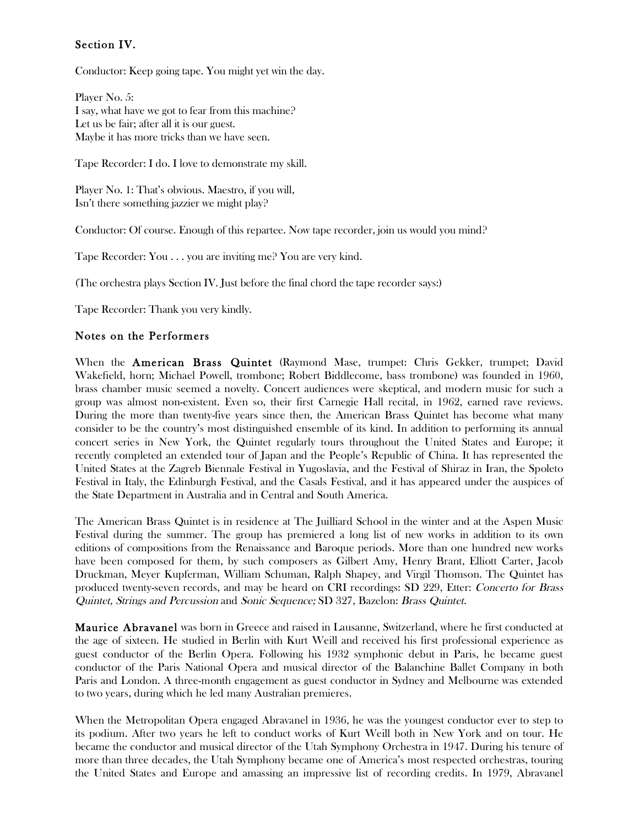# Section IV.

Conductor: Keep going tape. You might yet win the day.

Player No. 5: I say, what have we got to fear from this machine? Let us be fair; after all it is our guest. Maybe it has more tricks than we have seen.

Tape Recorder: I do. I love to demonstrate my skill.

Player No. 1: That's obvious. Maestro, if you will, Isn't there something jazzier we might play?

Conductor: Of course. Enough of this repartee. Now tape recorder, join us would you mind?

Tape Recorder: You . . . you are inviting me? You are very kind.

(The orchestra plays Section IV. Just before the final chord the tape recorder says:)

Tape Recorder: Thank you very kindly.

## Notes on the Performers

When the American Brass Quintet (Raymond Mase, trumpet: Chris Gekker, trumpet; David Wakefield, horn; Michael Powell, trombone; Robert Biddlecome, bass trombone) was founded in 1960, brass chamber music seemed a novelty. Concert audiences were skeptical, and modern music for such a group was almost non-existent. Even so, their first Carnegie Hall recital, in 1962, earned rave reviews. During the more than twenty-five years since then, the American Brass Quintet has become what many consider to be the country's most distinguished ensemble of its kind. In addition to performing its annual concert series in New York, the Quintet regularly tours throughout the United States and Europe; it recently completed an extended tour of Japan and the People's Republic of China. It has represented the United States at the Zagreb Biennale Festival in Yugoslavia, and the Festival of Shiraz in Iran, the Spoleto Festival in Italy, the Edinburgh Festival, and the Casals Festival, and it has appeared under the auspices of the State Department in Australia and in Central and South America.

The American Brass Quintet is in residence at The Juilliard School in the winter and at the Aspen Music Festival during the summer. The group has premiered a long list of new works in addition to its own editions of compositions from the Renaissance and Baroque periods. More than one hundred new works have been composed for them, by such composers as Gilbert Amy, Henry Brant, Elliott Carter, Jacob Druckman, Meyer Kupferman, William Schuman, Ralph Shapey, and Virgil Thomson. The Quintet has produced twenty-seven records, and may be heard on CRI recordings: SD 229, Etter: Concerto for Brass Quintet, Strings and Percussion and Sonic Sequence; SD 327, Bazelon: Brass Quintet.

Maurice Abravanel was born in Greece and raised in Lausanne, Switzerland, where he first conducted at the age of sixteen. He studied in Berlin with Kurt Weill and received his first professional experience as guest conductor of the Berlin Opera. Following his 1932 symphonic debut in Paris, he became guest conductor of the Paris National Opera and musical director of the Balanchine Ballet Company in both Paris and London. A three-month engagement as guest conductor in Sydney and Melbourne was extended to two years, during which he led many Australian premieres.

When the Metropolitan Opera engaged Abravanel in 1936, he was the youngest conductor ever to step to its podium. After two years he left to conduct works of Kurt Weill both in New York and on tour. He became the conductor and musical director of the Utah Symphony Orchestra in 1947. During his tenure of more than three decades, the Utah Symphony became one of America's most respected orchestras, touring the United States and Europe and amassing an impressive list of recording credits. In 1979, Abravanel